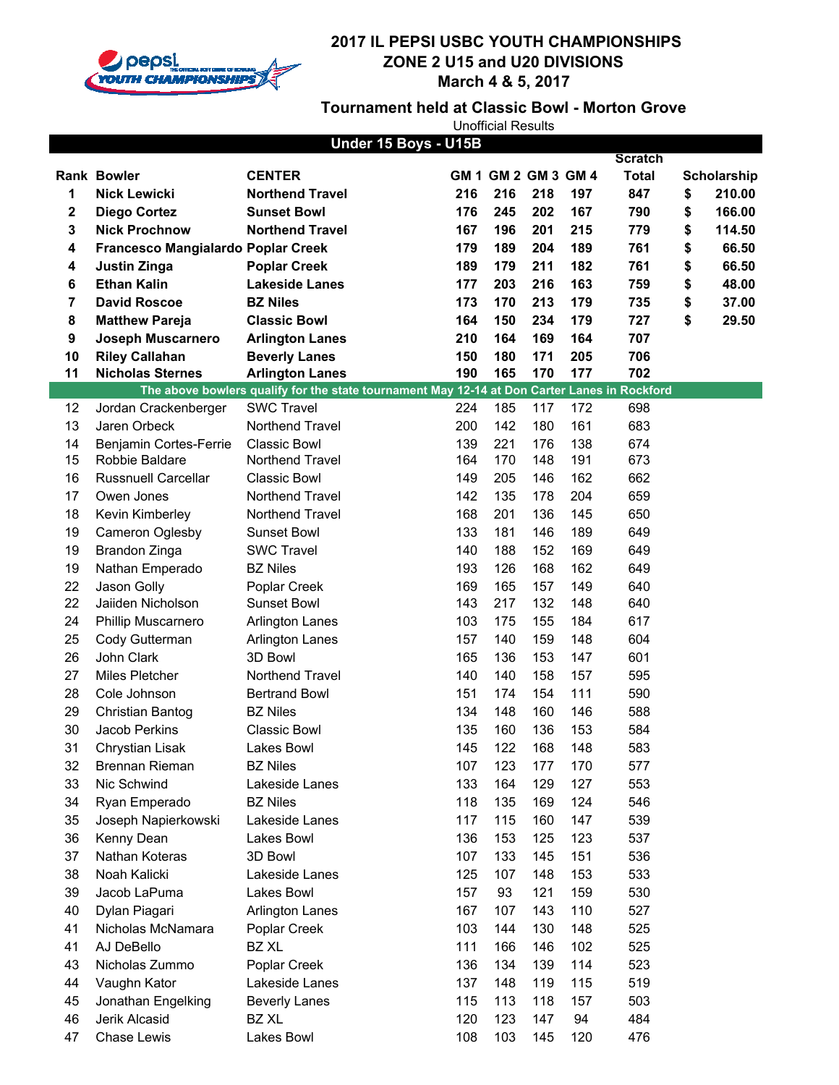

### **Tournament held at Classic Bowl - Morton Grove**

|    |                                    | Under 15 Boys - U15B                                                                         |     |                     |     |     |                |              |
|----|------------------------------------|----------------------------------------------------------------------------------------------|-----|---------------------|-----|-----|----------------|--------------|
|    |                                    |                                                                                              |     |                     |     |     | <b>Scratch</b> |              |
|    | <b>Rank Bowler</b>                 | <b>CENTER</b>                                                                                |     | GM 1 GM 2 GM 3 GM 4 |     |     | <b>Total</b>   | Scholarship  |
| 1  | <b>Nick Lewicki</b>                | <b>Northend Travel</b>                                                                       | 216 | 216                 | 218 | 197 | 847            | \$<br>210.00 |
| 2  | <b>Diego Cortez</b>                | <b>Sunset Bowl</b>                                                                           | 176 | 245                 | 202 | 167 | 790            | \$<br>166.00 |
| 3  | <b>Nick Prochnow</b>               | <b>Northend Travel</b>                                                                       | 167 | 196                 | 201 | 215 | 779            | \$<br>114.50 |
| 4  | Francesco Mangialardo Poplar Creek |                                                                                              | 179 | 189                 | 204 | 189 | 761            | \$<br>66.50  |
| 4  | <b>Justin Zinga</b>                | <b>Poplar Creek</b>                                                                          | 189 | 179                 | 211 | 182 | 761            | \$<br>66.50  |
| 6  | <b>Ethan Kalin</b>                 | <b>Lakeside Lanes</b>                                                                        | 177 | 203                 | 216 | 163 | 759            | \$<br>48.00  |
| 7  | <b>David Roscoe</b>                | <b>BZ Niles</b>                                                                              | 173 | 170                 | 213 | 179 | 735            | \$<br>37.00  |
| 8  | <b>Matthew Pareja</b>              | <b>Classic Bowl</b>                                                                          | 164 | 150                 | 234 | 179 | 727            | \$<br>29.50  |
| 9  | Joseph Muscarnero                  | <b>Arlington Lanes</b>                                                                       | 210 | 164                 | 169 | 164 | 707            |              |
| 10 | <b>Riley Callahan</b>              | <b>Beverly Lanes</b>                                                                         | 150 | 180                 | 171 | 205 | 706            |              |
| 11 | <b>Nicholas Sternes</b>            | <b>Arlington Lanes</b>                                                                       | 190 | 165                 | 170 | 177 | 702            |              |
|    |                                    | The above bowlers qualify for the state tournament May 12-14 at Don Carter Lanes in Rockford |     |                     |     |     |                |              |
| 12 | Jordan Crackenberger               | <b>SWC Travel</b>                                                                            | 224 | 185                 | 117 | 172 | 698            |              |
| 13 | Jaren Orbeck                       | Northend Travel                                                                              | 200 | 142                 | 180 | 161 | 683            |              |
| 14 | Benjamin Cortes-Ferrie             | <b>Classic Bowl</b>                                                                          | 139 | 221                 | 176 | 138 | 674            |              |
| 15 | Robbie Baldare                     | Northend Travel                                                                              | 164 | 170                 | 148 | 191 | 673            |              |
| 16 | <b>Russnuell Carcellar</b>         | <b>Classic Bowl</b>                                                                          | 149 | 205                 | 146 | 162 | 662            |              |
| 17 | Owen Jones                         | Northend Travel                                                                              | 142 | 135                 | 178 | 204 | 659            |              |
| 18 | Kevin Kimberley                    | Northend Travel                                                                              | 168 | 201                 | 136 | 145 | 650            |              |
| 19 | Cameron Oglesby                    | Sunset Bowl                                                                                  | 133 | 181                 | 146 | 189 | 649            |              |
| 19 | Brandon Zinga                      | <b>SWC Travel</b>                                                                            | 140 | 188                 | 152 | 169 | 649            |              |
| 19 | Nathan Emperado                    | <b>BZ Niles</b>                                                                              | 193 | 126                 | 168 | 162 | 649            |              |
| 22 | Jason Golly                        | Poplar Creek                                                                                 | 169 | 165                 | 157 | 149 | 640            |              |
| 22 | Jaiiden Nicholson                  | <b>Sunset Bowl</b>                                                                           | 143 | 217                 | 132 | 148 | 640            |              |
| 24 | Phillip Muscarnero                 | <b>Arlington Lanes</b>                                                                       | 103 | 175                 | 155 | 184 | 617            |              |
| 25 | Cody Gutterman                     | <b>Arlington Lanes</b>                                                                       | 157 | 140                 | 159 | 148 | 604            |              |
| 26 | John Clark                         | 3D Bowl                                                                                      | 165 | 136                 | 153 | 147 | 601            |              |
| 27 | Miles Pletcher                     | Northend Travel                                                                              | 140 | 140                 | 158 | 157 | 595            |              |
| 28 | Cole Johnson                       | <b>Bertrand Bowl</b>                                                                         | 151 | 174                 | 154 | 111 | 590            |              |
| 29 | Christian Bantog                   | <b>BZ Niles</b>                                                                              | 134 | 148                 | 160 | 146 | 588            |              |
| 30 | Jacob Perkins                      | <b>Classic Bowl</b>                                                                          | 135 | 160                 | 136 | 153 | 584            |              |
| 31 | Chrystian Lisak                    | Lakes Bowl                                                                                   | 145 | 122                 | 168 | 148 | 583            |              |
| 32 | Brennan Rieman                     | <b>BZ Niles</b>                                                                              | 107 | 123                 | 177 | 170 | 577            |              |
| 33 | Nic Schwind                        | Lakeside Lanes                                                                               | 133 | 164                 | 129 | 127 | 553            |              |
| 34 | Ryan Emperado                      | <b>BZ Niles</b>                                                                              | 118 | 135                 | 169 | 124 | 546            |              |
| 35 | Joseph Napierkowski                | Lakeside Lanes                                                                               | 117 | 115                 | 160 | 147 | 539            |              |
| 36 | Kenny Dean                         | Lakes Bowl                                                                                   | 136 | 153                 | 125 | 123 | 537            |              |
| 37 | Nathan Koteras                     | 3D Bowl                                                                                      | 107 | 133                 | 145 | 151 | 536            |              |
| 38 | Noah Kalicki                       |                                                                                              | 125 | 107                 | 148 |     |                |              |
| 39 |                                    | Lakeside Lanes                                                                               |     | 93                  |     | 153 | 533            |              |
|    | Jacob LaPuma                       | Lakes Bowl                                                                                   | 157 |                     | 121 | 159 | 530            |              |
| 40 | Dylan Piagari                      | <b>Arlington Lanes</b>                                                                       | 167 | 107                 | 143 | 110 | 527            |              |
| 41 | Nicholas McNamara                  | Poplar Creek                                                                                 | 103 | 144                 | 130 | 148 | 525            |              |
| 41 | AJ DeBello                         | <b>BZ XL</b>                                                                                 | 111 | 166                 | 146 | 102 | 525            |              |
| 43 | Nicholas Zummo                     | Poplar Creek                                                                                 | 136 | 134                 | 139 | 114 | 523            |              |
| 44 | Vaughn Kator                       | Lakeside Lanes                                                                               | 137 | 148                 | 119 | 115 | 519            |              |
| 45 | Jonathan Engelking                 | <b>Beverly Lanes</b>                                                                         | 115 | 113                 | 118 | 157 | 503            |              |
| 46 | Jerik Alcasid                      | BZ XL                                                                                        | 120 | 123                 | 147 | 94  | 484            |              |
| 47 | Chase Lewis                        | Lakes Bowl                                                                                   | 108 | 103                 | 145 | 120 | 476            |              |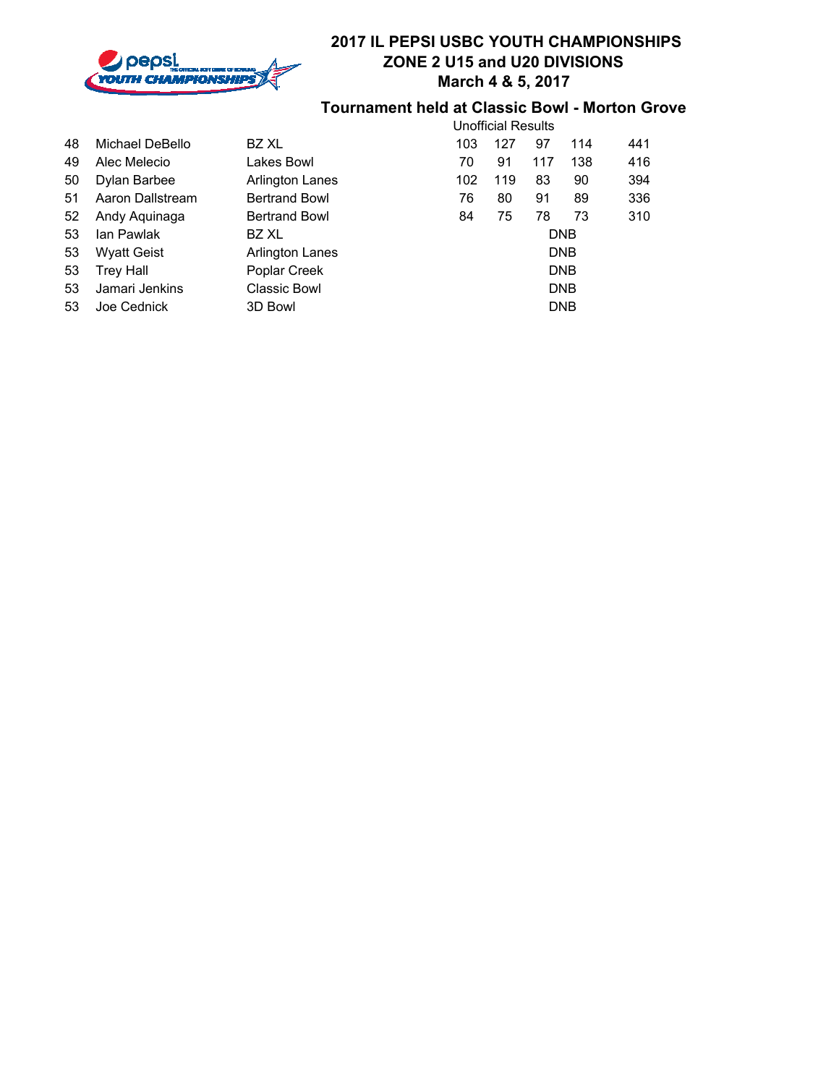

#### **Tournament held at Classic Bowl - Morton Grove**

|    |                    |                      | <b>Unofficial Results</b> |     |     |            |     |  |  |
|----|--------------------|----------------------|---------------------------|-----|-----|------------|-----|--|--|
| 48 | Michael DeBello    | BZ XL                | 103                       | 127 | 97  | 114        | 441 |  |  |
| 49 | Alec Melecio       | Lakes Bowl           | 70                        | 91  | 117 | 138        | 416 |  |  |
| 50 | Dylan Barbee       | Arlington Lanes      | 102                       | 119 | 83  | 90         | 394 |  |  |
| 51 | Aaron Dallstream   | <b>Bertrand Bowl</b> | 76                        | 80  | 91  | 89         | 336 |  |  |
| 52 | Andy Aquinaga      | <b>Bertrand Bowl</b> | 84                        | 75  | 78  | 73         | 310 |  |  |
| 53 | lan Pawlak         | BZ XL                | <b>DNB</b>                |     |     |            |     |  |  |
| 53 | <b>Wyatt Geist</b> | Arlington Lanes      | <b>DNB</b>                |     |     |            |     |  |  |
| 53 | <b>Trey Hall</b>   | Poplar Creek         | <b>DNB</b>                |     |     |            |     |  |  |
| 53 | Jamari Jenkins     | Classic Bowl         | <b>DNB</b>                |     |     |            |     |  |  |
| 53 | Joe Cednick        | 3D Bowl              |                           |     |     | <b>DNB</b> |     |  |  |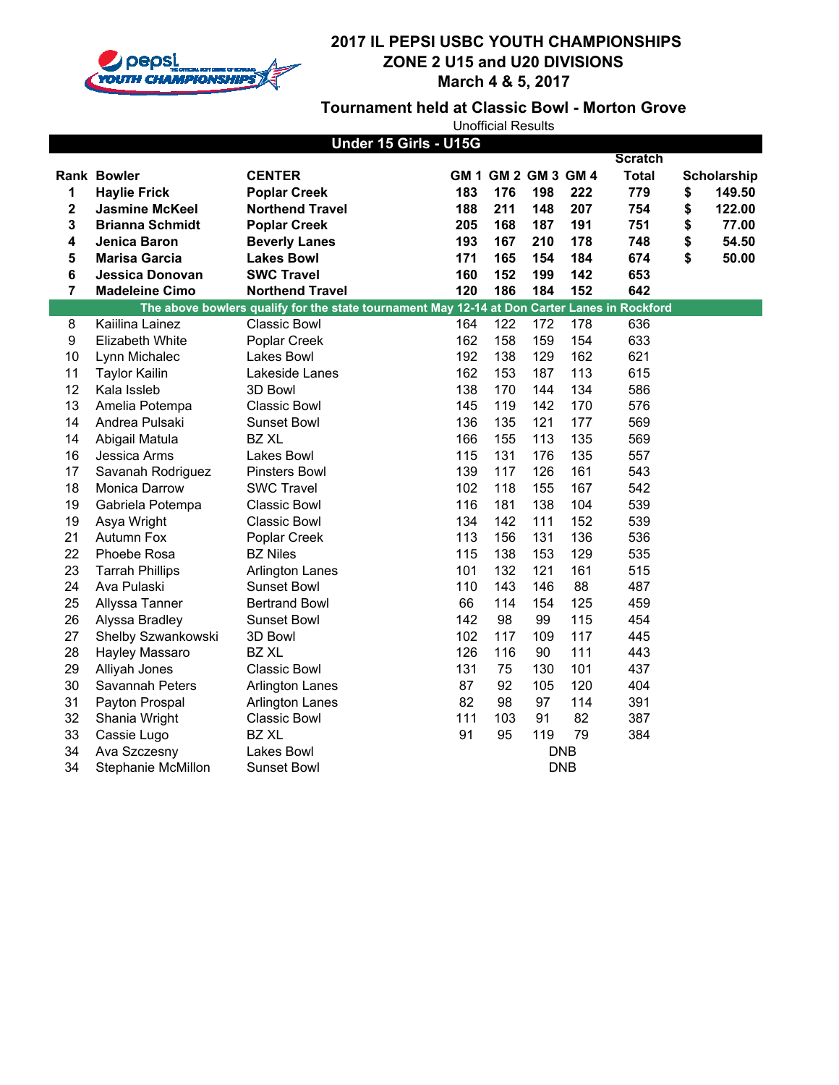

**Tournament held at Classic Bowl - Morton Grove**

|                  |                           | Under 15 Girls - U15G                                                                        |     |     |                     |            |                |              |
|------------------|---------------------------|----------------------------------------------------------------------------------------------|-----|-----|---------------------|------------|----------------|--------------|
|                  |                           |                                                                                              |     |     |                     |            | <b>Scratch</b> |              |
|                  | <b>Rank Bowler</b>        | <b>CENTER</b>                                                                                |     |     | GM 1 GM 2 GM 3 GM 4 |            | <b>Total</b>   | Scholarship  |
| 1                | <b>Haylie Frick</b>       | <b>Poplar Creek</b>                                                                          | 183 | 176 | 198                 | 222        | 779            | \$<br>149.50 |
| 2                | <b>Jasmine McKeel</b>     | <b>Northend Travel</b>                                                                       | 188 | 211 | 148                 | 207        | 754            | \$<br>122.00 |
| 3                | <b>Brianna Schmidt</b>    | <b>Poplar Creek</b>                                                                          | 205 | 168 | 187                 | 191        | 751            | \$<br>77.00  |
| 4                | Jenica Baron              | <b>Beverly Lanes</b>                                                                         | 193 | 167 | 210                 | 178        | 748            | \$<br>54.50  |
| 5                | <b>Marisa Garcia</b>      | <b>Lakes Bowl</b>                                                                            | 171 | 165 | 154                 | 184        | 674            | \$<br>50.00  |
| 6                | <b>Jessica Donovan</b>    | <b>SWC Travel</b>                                                                            | 160 | 152 | 199                 | 142        | 653            |              |
| 7                | <b>Madeleine Cimo</b>     | <b>Northend Travel</b>                                                                       | 120 | 186 | 184                 | 152        | 642            |              |
|                  |                           | The above bowlers qualify for the state tournament May 12-14 at Don Carter Lanes in Rockford |     |     |                     |            |                |              |
| 8                | Kaiilina Lainez           | Classic Bowl                                                                                 | 164 | 122 | 172                 | 178        | 636            |              |
| $\boldsymbol{9}$ | Elizabeth White           | Poplar Creek                                                                                 | 162 | 158 | 159                 | 154        | 633            |              |
| 10               | Lynn Michalec             | <b>Lakes Bowl</b>                                                                            | 192 | 138 | 129                 | 162        | 621            |              |
| 11               | <b>Taylor Kailin</b>      | Lakeside Lanes                                                                               | 162 | 153 | 187                 | 113        | 615            |              |
| 12               | Kala Issleb               | 3D Bowl                                                                                      | 138 | 170 | 144                 | 134        | 586            |              |
| 13               | Amelia Potempa            | <b>Classic Bowl</b>                                                                          | 145 | 119 | 142                 | 170        | 576            |              |
| 14               | Andrea Pulsaki            | Sunset Bowl                                                                                  | 136 | 135 | 121                 | 177        | 569            |              |
| 14               | Abigail Matula            | <b>BZ XL</b>                                                                                 | 166 | 155 | 113                 | 135        | 569            |              |
| 16               | Jessica Arms              | Lakes Bowl                                                                                   | 115 | 131 | 176                 | 135        | 557            |              |
| 17               | Savanah Rodriguez         | <b>Pinsters Bowl</b>                                                                         | 139 | 117 | 126                 | 161        | 543            |              |
| 18               | <b>Monica Darrow</b>      | <b>SWC Travel</b>                                                                            | 102 | 118 | 155                 | 167        | 542            |              |
| 19               | Gabriela Potempa          | <b>Classic Bowl</b>                                                                          | 116 | 181 | 138                 | 104        | 539            |              |
| 19               | Asya Wright               | <b>Classic Bowl</b>                                                                          | 134 | 142 | 111                 | 152        | 539            |              |
| 21               | Autumn Fox                | Poplar Creek                                                                                 | 113 | 156 | 131                 | 136        | 536            |              |
| 22               | Phoebe Rosa               | <b>BZ Niles</b>                                                                              | 115 | 138 | 153                 | 129        | 535            |              |
| 23               | <b>Tarrah Phillips</b>    | <b>Arlington Lanes</b>                                                                       | 101 | 132 | 121                 | 161        | 515            |              |
| 24               | Ava Pulaski               | Sunset Bowl                                                                                  | 110 | 143 | 146                 | 88         | 487            |              |
| 25               | Allyssa Tanner            | <b>Bertrand Bowl</b>                                                                         | 66  | 114 | 154                 | 125        | 459            |              |
| 26               | Alyssa Bradley            | Sunset Bowl                                                                                  | 142 | 98  | 99                  | 115        | 454            |              |
| 27               | Shelby Szwankowski        | 3D Bowl                                                                                      | 102 | 117 | 109                 | 117        | 445            |              |
| 28               | Hayley Massaro            | <b>BZ XL</b>                                                                                 | 126 | 116 | 90                  | 111        | 443            |              |
| 29               | Alliyah Jones             | <b>Classic Bowl</b>                                                                          | 131 | 75  | 130                 | 101        | 437            |              |
| 30               | Savannah Peters           | <b>Arlington Lanes</b>                                                                       | 87  | 92  | 105                 | 120        | 404            |              |
| 31               | Payton Prospal            | <b>Arlington Lanes</b>                                                                       | 82  | 98  | 97                  | 114        | 391            |              |
| 32               | Shania Wright             | <b>Classic Bowl</b>                                                                          | 111 | 103 | 91                  | 82         | 387            |              |
| 33               | Cassie Lugo               | <b>BZ XL</b>                                                                                 | 91  | 95  | 119                 | 79         | 384            |              |
| 34               | Ava Szczesny              | <b>Lakes Bowl</b>                                                                            |     |     | <b>DNB</b>          |            |                |              |
| 34               | <b>Stephanie McMillon</b> | Sunset Bowl                                                                                  |     |     |                     | <b>DNB</b> |                |              |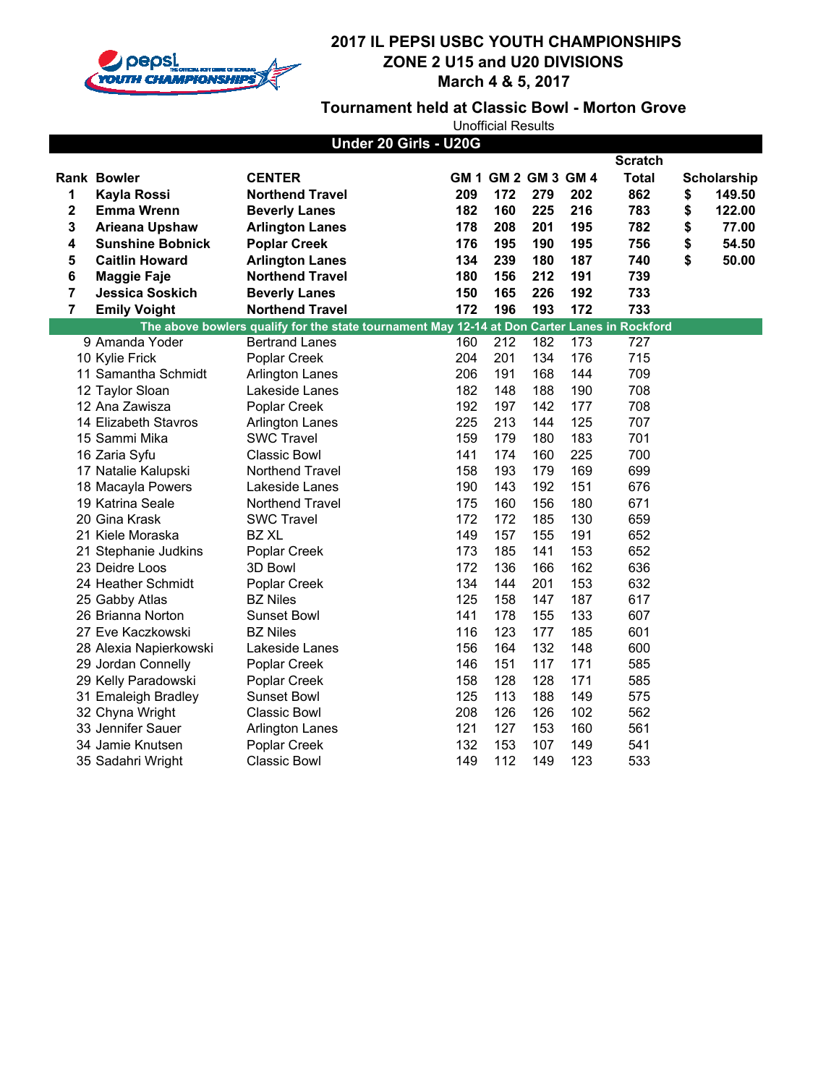

### **Tournament held at Classic Bowl - Morton Grove**

| Under 20 Girls - U20G |                         |                                                                                              |     |                     |     |     |                |    |             |
|-----------------------|-------------------------|----------------------------------------------------------------------------------------------|-----|---------------------|-----|-----|----------------|----|-------------|
|                       |                         |                                                                                              |     |                     |     |     | <b>Scratch</b> |    |             |
|                       | <b>Rank Bowler</b>      | <b>CENTER</b>                                                                                |     | GM 1 GM 2 GM 3 GM 4 |     |     | <b>Total</b>   |    | Scholarship |
| 1                     | <b>Kayla Rossi</b>      | <b>Northend Travel</b>                                                                       | 209 | 172                 | 279 | 202 | 862            | \$ | 149.50      |
| 2                     | <b>Emma Wrenn</b>       | <b>Beverly Lanes</b>                                                                         | 182 | 160                 | 225 | 216 | 783            | \$ | 122.00      |
| 3                     | <b>Arieana Upshaw</b>   | <b>Arlington Lanes</b>                                                                       | 178 | 208                 | 201 | 195 | 782            | \$ | 77.00       |
| 4                     | <b>Sunshine Bobnick</b> | <b>Poplar Creek</b>                                                                          | 176 | 195                 | 190 | 195 | 756            | \$ | 54.50       |
| 5                     | <b>Caitlin Howard</b>   | <b>Arlington Lanes</b>                                                                       | 134 | 239                 | 180 | 187 | 740            | \$ | 50.00       |
| 6                     | <b>Maggie Faje</b>      | <b>Northend Travel</b>                                                                       | 180 | 156                 | 212 | 191 | 739            |    |             |
| 7                     | <b>Jessica Soskich</b>  | <b>Beverly Lanes</b>                                                                         | 150 | 165                 | 226 | 192 | 733            |    |             |
| $\overline{7}$        | <b>Emily Voight</b>     | <b>Northend Travel</b>                                                                       | 172 | 196                 | 193 | 172 | 733            |    |             |
|                       |                         | The above bowlers qualify for the state tournament May 12-14 at Don Carter Lanes in Rockford |     |                     |     |     |                |    |             |
|                       | 9 Amanda Yoder          | <b>Bertrand Lanes</b>                                                                        | 160 | 212                 | 182 | 173 | 727            |    |             |
|                       | 10 Kylie Frick          | Poplar Creek                                                                                 | 204 | 201                 | 134 | 176 | 715            |    |             |
|                       | 11 Samantha Schmidt     | <b>Arlington Lanes</b>                                                                       | 206 | 191                 | 168 | 144 | 709            |    |             |
|                       | 12 Taylor Sloan         | Lakeside Lanes                                                                               | 182 | 148                 | 188 | 190 | 708            |    |             |
|                       | 12 Ana Zawisza          | Poplar Creek                                                                                 | 192 | 197                 | 142 | 177 | 708            |    |             |
|                       | 14 Elizabeth Stavros    | <b>Arlington Lanes</b>                                                                       | 225 | 213                 | 144 | 125 | 707            |    |             |
|                       | 15 Sammi Mika           | <b>SWC Travel</b>                                                                            | 159 | 179                 | 180 | 183 | 701            |    |             |
|                       | 16 Zaria Syfu           | <b>Classic Bowl</b>                                                                          | 141 | 174                 | 160 | 225 | 700            |    |             |
|                       | 17 Natalie Kalupski     | Northend Travel                                                                              | 158 | 193                 | 179 | 169 | 699            |    |             |
|                       | 18 Macayla Powers       | Lakeside Lanes                                                                               | 190 | 143                 | 192 | 151 | 676            |    |             |
|                       | 19 Katrina Seale        | Northend Travel                                                                              | 175 | 160                 | 156 | 180 | 671            |    |             |
|                       | 20 Gina Krask           | <b>SWC Travel</b>                                                                            | 172 | 172                 | 185 | 130 | 659            |    |             |
|                       | 21 Kiele Moraska        | <b>BZ XL</b>                                                                                 | 149 | 157                 | 155 | 191 | 652            |    |             |
|                       | 21 Stephanie Judkins    | Poplar Creek                                                                                 | 173 | 185                 | 141 | 153 | 652            |    |             |
|                       | 23 Deidre Loos          | 3D Bowl                                                                                      | 172 | 136                 | 166 | 162 | 636            |    |             |
|                       | 24 Heather Schmidt      | Poplar Creek                                                                                 | 134 | 144                 | 201 | 153 | 632            |    |             |
|                       | 25 Gabby Atlas          | <b>BZ Niles</b>                                                                              | 125 | 158                 | 147 | 187 | 617            |    |             |
|                       | 26 Brianna Norton       | Sunset Bowl                                                                                  | 141 | 178                 | 155 | 133 | 607            |    |             |
|                       | 27 Eve Kaczkowski       | <b>BZ Niles</b>                                                                              | 116 | 123                 | 177 | 185 | 601            |    |             |
|                       | 28 Alexia Napierkowski  | Lakeside Lanes                                                                               | 156 | 164                 | 132 | 148 | 600            |    |             |
|                       | 29 Jordan Connelly      | Poplar Creek                                                                                 | 146 | 151                 | 117 | 171 | 585            |    |             |
|                       | 29 Kelly Paradowski     | Poplar Creek                                                                                 | 158 | 128                 | 128 | 171 | 585            |    |             |
|                       | 31 Emaleigh Bradley     | Sunset Bowl                                                                                  | 125 | 113                 | 188 | 149 | 575            |    |             |
|                       | 32 Chyna Wright         | <b>Classic Bowl</b>                                                                          | 208 | 126                 | 126 | 102 | 562            |    |             |
|                       | 33 Jennifer Sauer       | <b>Arlington Lanes</b>                                                                       | 121 | 127                 | 153 | 160 | 561            |    |             |
|                       | 34 Jamie Knutsen        | Poplar Creek                                                                                 | 132 | 153                 | 107 | 149 | 541            |    |             |
|                       | 35 Sadahri Wright       | <b>Classic Bowl</b>                                                                          | 149 | 112                 | 149 | 123 | 533            |    |             |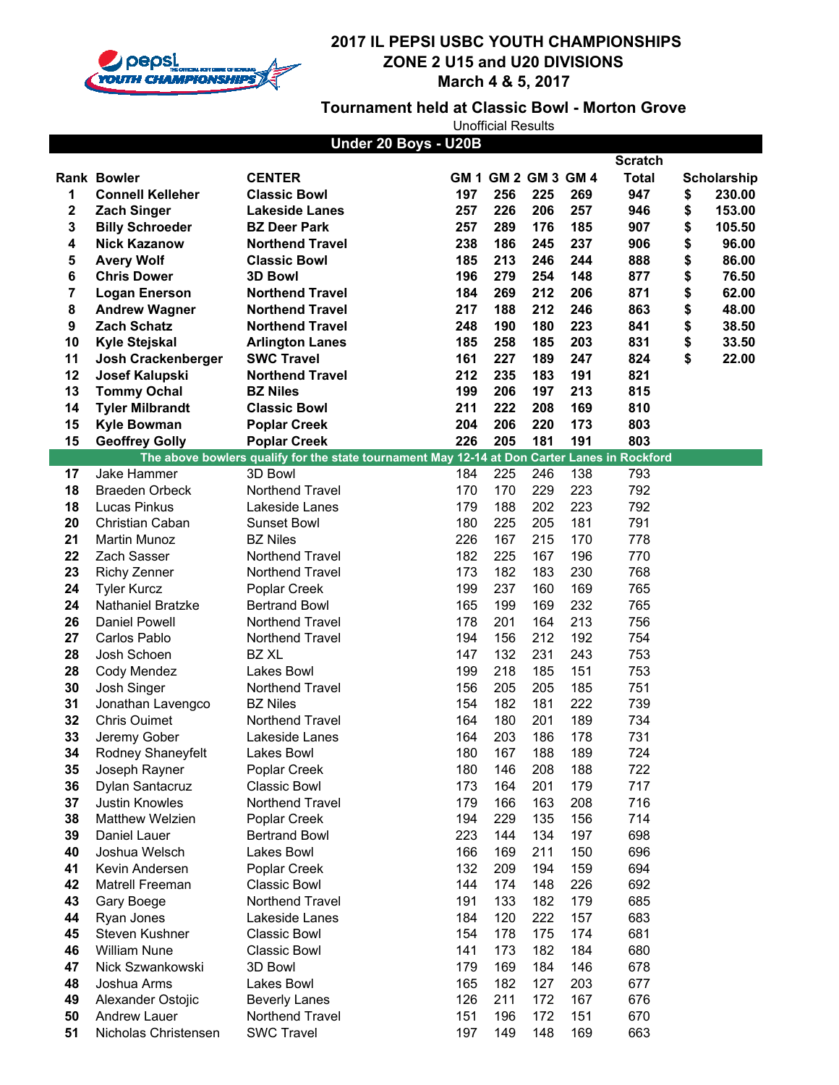

### **Tournament held at Classic Bowl - Morton Grove**

|    |                          | Under 20 Boys - U20B                                                                         |     |                     |     |     |                |              |
|----|--------------------------|----------------------------------------------------------------------------------------------|-----|---------------------|-----|-----|----------------|--------------|
|    |                          |                                                                                              |     |                     |     |     | <b>Scratch</b> |              |
|    | <b>Rank Bowler</b>       | <b>CENTER</b>                                                                                |     | GM 1 GM 2 GM 3 GM 4 |     |     | <b>Total</b>   | Scholarship  |
| 1  | <b>Connell Kelleher</b>  | <b>Classic Bowl</b>                                                                          | 197 | 256                 | 225 | 269 | 947            | \$<br>230.00 |
| 2  | <b>Zach Singer</b>       | <b>Lakeside Lanes</b>                                                                        | 257 | 226                 | 206 | 257 | 946            | \$<br>153.00 |
| 3  | <b>Billy Schroeder</b>   | <b>BZ Deer Park</b>                                                                          | 257 | 289                 | 176 | 185 | 907            | \$<br>105.50 |
| 4  | <b>Nick Kazanow</b>      | <b>Northend Travel</b>                                                                       | 238 | 186                 | 245 | 237 | 906            | \$<br>96.00  |
| 5  | <b>Avery Wolf</b>        | <b>Classic Bowl</b>                                                                          | 185 | 213                 | 246 | 244 | 888            | \$<br>86.00  |
| 6  | <b>Chris Dower</b>       | <b>3D Bowl</b>                                                                               | 196 | 279                 | 254 | 148 | 877            | \$<br>76.50  |
| 7  | <b>Logan Enerson</b>     | <b>Northend Travel</b>                                                                       | 184 | 269                 | 212 | 206 | 871            | \$<br>62.00  |
| 8  | <b>Andrew Wagner</b>     | <b>Northend Travel</b>                                                                       | 217 | 188                 | 212 | 246 | 863            | \$<br>48.00  |
| 9  | <b>Zach Schatz</b>       | <b>Northend Travel</b>                                                                       | 248 | 190                 | 180 | 223 | 841            | \$<br>38.50  |
| 10 | <b>Kyle Stejskal</b>     | <b>Arlington Lanes</b>                                                                       | 185 | 258                 | 185 | 203 | 831            | \$<br>33.50  |
| 11 | Josh Crackenberger       | <b>SWC Travel</b>                                                                            | 161 | 227                 | 189 | 247 | 824            | \$<br>22.00  |
| 12 | Josef Kalupski           | <b>Northend Travel</b>                                                                       | 212 | 235                 | 183 | 191 | 821            |              |
| 13 | <b>Tommy Ochal</b>       | <b>BZ Niles</b>                                                                              | 199 | 206                 | 197 | 213 | 815            |              |
| 14 | <b>Tyler Milbrandt</b>   | <b>Classic Bowl</b>                                                                          | 211 | 222                 | 208 | 169 | 810            |              |
| 15 | <b>Kyle Bowman</b>       | <b>Poplar Creek</b>                                                                          | 204 | 206                 | 220 | 173 | 803            |              |
| 15 | <b>Geoffrey Golly</b>    | <b>Poplar Creek</b>                                                                          | 226 | 205                 | 181 | 191 | 803            |              |
|    |                          | The above bowlers qualify for the state tournament May 12-14 at Don Carter Lanes in Rockford |     |                     |     |     |                |              |
| 17 | Jake Hammer              | 3D Bowl                                                                                      | 184 | 225                 | 246 | 138 | 793            |              |
| 18 | <b>Braeden Orbeck</b>    | <b>Northend Travel</b>                                                                       | 170 | 170                 | 229 | 223 | 792            |              |
| 18 | Lucas Pinkus             | Lakeside Lanes                                                                               | 179 | 188                 | 202 | 223 | 792            |              |
| 20 | Christian Caban          | Sunset Bowl                                                                                  | 180 | 225                 | 205 | 181 | 791            |              |
| 21 | <b>Martin Munoz</b>      | <b>BZ Niles</b>                                                                              | 226 | 167                 | 215 | 170 | 778            |              |
| 22 | Zach Sasser              | Northend Travel                                                                              | 182 | 225                 | 167 | 196 | 770            |              |
| 23 | <b>Richy Zenner</b>      | Northend Travel                                                                              | 173 | 182                 | 183 | 230 | 768            |              |
| 24 | <b>Tyler Kurcz</b>       | Poplar Creek                                                                                 | 199 | 237                 | 160 | 169 | 765            |              |
| 24 | <b>Nathaniel Bratzke</b> | <b>Bertrand Bowl</b>                                                                         | 165 | 199                 | 169 | 232 | 765            |              |
| 26 | Daniel Powell            | Northend Travel                                                                              | 178 | 201                 | 164 | 213 | 756            |              |
| 27 | Carlos Pablo             | Northend Travel                                                                              | 194 | 156                 | 212 | 192 | 754            |              |
| 28 | Josh Schoen              | <b>BZ XL</b>                                                                                 | 147 | 132                 | 231 | 243 | 753            |              |
| 28 | Cody Mendez              | Lakes Bowl                                                                                   | 199 | 218                 | 185 | 151 | 753            |              |
| 30 | Josh Singer              | Northend Travel                                                                              | 156 | 205                 | 205 | 185 | 751            |              |
| 31 | Jonathan Lavengco        | <b>BZ Niles</b>                                                                              | 154 | 182                 | 181 | 222 | 739            |              |
| 32 | <b>Chris Ouimet</b>      | Northend Travel                                                                              | 164 | 180                 | 201 | 189 | 734            |              |
| 33 | Jeremy Gober             | Lakeside Lanes                                                                               | 164 | 203                 | 186 | 178 | 731            |              |
| 34 | Rodney Shaneyfelt        | Lakes Bowl                                                                                   | 180 | 167                 | 188 | 189 | 724            |              |
| 35 | Joseph Rayner            | Poplar Creek                                                                                 | 180 | 146                 | 208 | 188 | 722            |              |
| 36 | Dylan Santacruz          | Classic Bowl                                                                                 | 173 | 164                 | 201 | 179 | 717            |              |
| 37 | Justin Knowles           | Northend Travel                                                                              | 179 | 166                 | 163 | 208 | 716            |              |
| 38 | Matthew Welzien          | Poplar Creek                                                                                 | 194 | 229                 | 135 | 156 | 714            |              |
| 39 | Daniel Lauer             | <b>Bertrand Bowl</b>                                                                         | 223 | 144                 | 134 | 197 | 698            |              |
| 40 | Joshua Welsch            | Lakes Bowl                                                                                   | 166 | 169                 | 211 | 150 | 696            |              |
| 41 | Kevin Andersen           | Poplar Creek                                                                                 | 132 | 209                 | 194 | 159 | 694            |              |
| 42 | Matrell Freeman          | Classic Bowl                                                                                 | 144 | 174                 | 148 | 226 | 692            |              |
| 43 | Gary Boege               | Northend Travel                                                                              | 191 | 133                 | 182 | 179 | 685            |              |
| 44 | Ryan Jones               | Lakeside Lanes                                                                               | 184 | 120                 | 222 | 157 | 683            |              |
| 45 | Steven Kushner           | Classic Bowl                                                                                 | 154 | 178                 | 175 | 174 | 681            |              |
| 46 | <b>William Nune</b>      | Classic Bowl                                                                                 | 141 | 173                 | 182 | 184 | 680            |              |
| 47 | Nick Szwankowski         | 3D Bowl                                                                                      | 179 | 169                 | 184 | 146 | 678            |              |
| 48 | Joshua Arms              | Lakes Bowl                                                                                   | 165 | 182                 | 127 | 203 | 677            |              |
| 49 | Alexander Ostojic        | <b>Beverly Lanes</b>                                                                         | 126 | 211                 | 172 | 167 | 676            |              |
| 50 | Andrew Lauer             | Northend Travel                                                                              | 151 | 196                 | 172 | 151 | 670            |              |
| 51 | Nicholas Christensen     | <b>SWC Travel</b>                                                                            | 197 | 149                 | 148 | 169 | 663            |              |